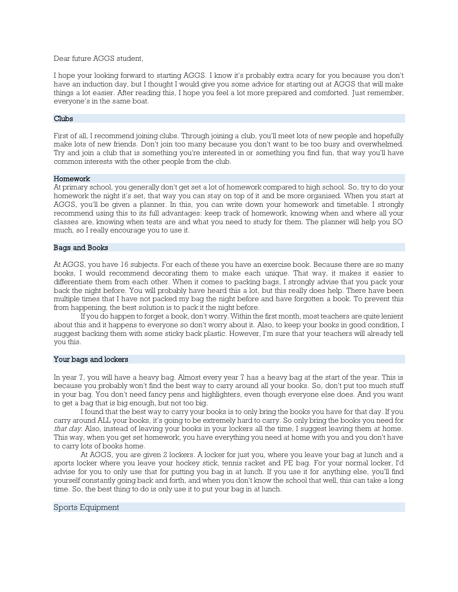Dear future AGGS student,

I hope your looking forward to starting AGGS. I know it's probably extra scary for you because you don't have an induction day, but I thought I would give you some advice for starting out at AGGS that will make things a lot easier. After reading this, I hope you feel a lot more prepared and comforted. Just remember, everyone's in the same boat.

## Clubs

First of all, I recommend joining clubs. Through joining a club, you'll meet lots of new people and hopefully make lots of new friends. Don't join too many because you don't want to be too busy and overwhelmed. Try and join a club that is something you're interested in or something you find fun, that way you'll have common interests with the other people from the club.

## Homework

At primary school, you generally don't get set a lot of homework compared to high school. So, try to do your homework the night it's set, that way you can stay on top of it and be more organised. When you start at AGGS, you'll be given a planner. In this, you can write down your homework and timetable. I strongly recommend using this to its full advantages: keep track of homework, knowing when and where all your classes are, knowing when tests are and what you need to study for them. The planner will help you SO much, so I really encourage you to use it.

## Bags and Books

At AGGS, you have 16 subjects. For each of these you have an exercise book. Because there are so many books, I would recommend decorating them to make each unique. That way, it makes it easier to differentiate them from each other. When it comes to packing bags, I strongly advise that you pack your back the night before. You will probably have heard this a lot, but this really does help. There have been multiple times that I have not packed my bag the night before and have forgotten a book. To prevent this from happening, the best solution is to pack it the night before.

If you do happen to forget a book, don't worry. Within the first month, most teachers are quite lenient about this and it happens to everyone so don't worry about it. Also, to keep your books in good condition, I suggest backing them with some sticky back plastic. However, I'm sure that your teachers will already tell you this.

#### Your bags and lockers

In year 7, you will have a heavy bag. Almost every year 7 has a heavy bag at the start of the year. This is because you probably won't find the best way to carry around all your books. So, don't put too much stuff in your bag. You don't need fancy pens and highlighters, even though everyone else does. And you want to get a bag that is big enough, but not too big.

I found that the best way to carry your books is to only bring the books you have for that day. If you carry around ALL your books, it's going to be extremely hard to carry. So only bring the books you need for that day. Also, instead of leaving your books in your lockers all the time, I suggest leaving them at home. This way, when you get set homework, you have everything you need at home with you and you don't have to carry lots of books home.

At AGGS, you are given 2 lockers. A locker for just you, where you leave your bag at lunch and a sports locker where you leave your hockey stick, tennis racket and PE bag. For your normal locker, I'd advise for you to only use that for putting you bag in at lunch. If you use it for anything else, you'll find yourself constantly going back and forth, and when you don't know the school that well, this can take a long time. So, the best thing to do is only use it to put your bag in at lunch.

# Sports Equipment